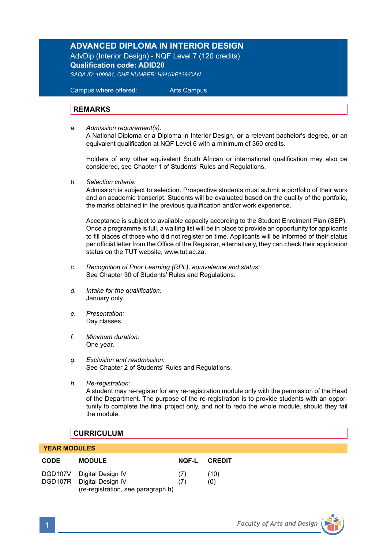## **ADVANCED DIPLOMA IN INTERIOR DESIGN**

AdvDip (Interior Design) - NQF Level 7 (120 credits) **Qualification code: ADID20** *SAQA ID: 109981, CHE NUMBER: H/H16/E139/CAN* 

 Campus where offered: Arts Campus

### **REMARKS**

*a. Admission requirement(s):* 

A National Diploma or a Diploma in Interior Design, **or** a relevant bachelor's degree, **or** an equivalent qualification at NQF Level 6 with a minimum of 360 credits.

Holders of any other equivalent South African or international qualification may also be considered, see Chapter 1 of Students' Rules and Regulations.

*b. Selection criteria:*

Admission is subject to selection. Prospective students must submit a portfolio of their work and an academic transcript. Students will be evaluated based on the quality of the portfolio, the marks obtained in the previous qualification and/or work experience.

 Acceptance is subject to available capacity according to the Student Enrolment Plan (SEP). Once a programme is full, a waiting list will be in place to provide an opportunity for applicants to fill places of those who did not register on time. Applicants will be informed of their status per official letter from the Office of the Registrar, alternatively, they can check their application status on the TUT website, www.tut.ac.za.

- *c. Recognition of Prior Learning (RPL), equivalence and status:* See Chapter 30 of Students' Rules and Regulations.
- *d. Intake for the qualification:* January only.
- *e. Presentation:* Day classes.
- *f. Minimum duration:* One year.
- *g. Exclusion and readmission:* See Chapter 2 of Students' Rules and Regulations.
- *h. Re-registration:*

A student may re-register for any re-registration module only with the permission of the Head of the Department. The purpose of the re-registration is to provide students with an opportunity to complete the final project only, and not to redo the whole module, should they fail the module.

### **CURRICULUM**

#### **YEAR MODULES**

| <b>CODE</b> | <b>MODULE</b>                                                                                | NOF-L      | <b>CREDIT</b> |
|-------------|----------------------------------------------------------------------------------------------|------------|---------------|
|             | DGD107V Digital Design IV<br>DGD107R Digital Design IV<br>(re-registration, see paragraph h) | (7)<br>(7) | (10)<br>(0)   |

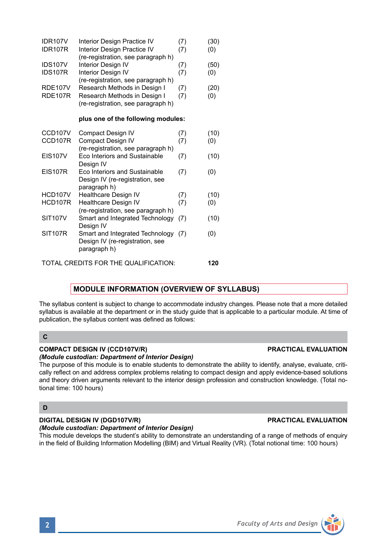| <b>IDR107V</b> | Interior Design Practice IV          | (7) | (30) |
|----------------|--------------------------------------|-----|------|
| <b>IDR107R</b> | Interior Design Practice IV          | (7) | (0)  |
|                | (re-registration, see paragraph h)   |     |      |
| <b>IDS107V</b> | Interior Design IV                   | (7) | (50) |
| <b>IDS107R</b> | Interior Design IV                   | (7) | (0)  |
|                | (re-registration, see paragraph h)   |     |      |
| <b>RDE107V</b> | Research Methods in Design I         | (7) | (20) |
| <b>RDE107R</b> | Research Methods in Design I         | (7) | (0)  |
|                | (re-registration, see paragraph h)   |     |      |
|                | plus one of the following modules:   |     |      |
| CCD107V        | Compact Design IV                    | (7) | (10) |
| CCD107R        | Compact Design IV                    | (7) | (0)  |
|                | (re-registration, see paragraph h)   |     |      |
| <b>EIS107V</b> | Eco Interiors and Sustainable        | (7) | (10) |
|                | Desian IV                            |     |      |
| <b>EIS107R</b> | Eco Interiors and Sustainable        | (7) | (0)  |
|                | Design IV (re-registration, see      |     |      |
|                | paragraph h)                         |     |      |
| HCD107V        | Healthcare Design IV                 | (7) | (10) |
| HCD107R        | Healthcare Design IV                 | (7) | (0)  |
|                | (re-registration, see paragraph h)   |     |      |
| <b>SIT107V</b> | Smart and Integrated Technology      | (7) | (10) |
|                | Design IV                            |     |      |
| <b>SIT107R</b> | Smart and Integrated Technology (7)  |     | (0)  |
|                | Design IV (re-registration, see      |     |      |
|                | paragraph h)                         |     |      |
|                | TOTAL CREDITS FOR THE QUALIFICATION: |     | 120  |
|                |                                      |     |      |

# **MODULE INFORMATION (OVERVIEW OF SYLLABUS)**

The syllabus content is subject to change to accommodate industry changes. Please note that a more detailed syllabus is available at the department or in the study guide that is applicable to a particular module. At time of publication, the syllabus content was defined as follows:

### **C**

### **COMPACT DESIGN IV (CCD107V/R) PRACTICAL EVALUATION**

### *(Module custodian: Department of Interior Design)*

The purpose of this module is to enable students to demonstrate the ability to identify, analyse, evaluate, critically reflect on and address complex problems relating to compact design and apply evidence-based solutions and theory driven arguments relevant to the interior design profession and construction knowledge. (Total notional time: 100 hours)

### **D**

## **DIGITAL DESIGN IV (DGD107V/R) PRACTICAL EVALUATION**

*(Module custodian: Department of Interior Design)* This module develops the student's ability to demonstrate an understanding of a range of methods of enquiry in the field of Building Information Modelling (BIM) and Virtual Reality (VR). (Total notional time: 100 hours)



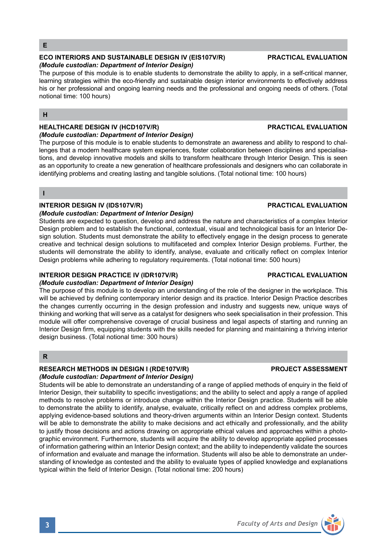#### **ECO INTERIORS AND SUSTAINABLE DESIGN IV (EIS107V/R) PRACTICAL EVALUATION**  *(Module custodian: Department of Interior Design)*

The purpose of this module is to enable students to demonstrate the ability to apply, in a self-critical manner, learning strategies within the eco-friendly and sustainable design interior environments to effectively address his or her professional and ongoing learning needs and the professional and ongoing needs of others. (Total notional time: 100 hours)

#### **H**

#### **HEALTHCARE DESIGN IV (HCD107V/R) PRACTICAL EVALUATION**

#### *(Module custodian: Department of Interior Design)*

The purpose of this module is to enable students to demonstrate an awareness and ability to respond to challenges that a modern healthcare system experiences, foster collaboration between disciplines and specialisations, and develop innovative models and skills to transform healthcare through Interior Design. This is seen as an opportunity to create a new generation of healthcare professionals and designers who can collaborate in identifying problems and creating lasting and tangible solutions. (Total notional time: 100 hours)

**I**

## **INTERIOR DESIGN IV (IDS107V/R) PRACTICAL EVALUATION**

#### *(Module custodian: Department of Interior Design)*

Students are expected to question, develop and address the nature and characteristics of a complex Interior Design problem and to establish the functional, contextual, visual and technological basis for an Interior Design solution. Students must demonstrate the ability to effectively engage in the design process to generate creative and technical design solutions to multifaceted and complex Interior Design problems. Further, the students will demonstrate the ability to identify, analyse, evaluate and critically reflect on complex Interior Design problems while adhering to regulatory requirements. (Total notional time: 500 hours)

## **INTERIOR DESIGN PRACTICE IV (IDR107V/R) PRACTICAL EVALUATION**

# *(Module custodian: Department of Interior Design)*

The purpose of this module is to develop an understanding of the role of the designer in the workplace. This will be achieved by defining contemporary interior design and its practice. Interior Design Practice describes the changes currently occurring in the design profession and industry and suggests new, unique ways of thinking and working that will serve as a catalyst for designers who seek specialisation in their profession. This module will offer comprehensive coverage of crucial business and legal aspects of starting and running an Interior Design firm, equipping students with the skills needed for planning and maintaining a thriving interior design business. (Total notional time: 300 hours)

### **R**

#### **RESEARCH METHODS IN DESIGN I (RDE107V/R) PROJECT ASSESSMENT**  *(Module custodian: Department of Interior Design)*

Students will be able to demonstrate an understanding of a range of applied methods of enquiry in the field of Interior Design, their suitability to specific investigations; and the ability to select and apply a range of applied methods to resolve problems or introduce change within the Interior Design practice. Students will be able to demonstrate the ability to identify, analyse, evaluate, critically reflect on and address complex problems, applying evidence-based solutions and theory-driven arguments within an Interior Design context. Students will be able to demonstrate the ability to make decisions and act ethically and professionally, and the ability to justify those decisions and actions drawing on appropriate ethical values and approaches within a photographic environment. Furthermore, students will acquire the ability to develop appropriate applied processes of information gathering within an Interior Design context; and the ability to independently validate the sources of information and evaluate and manage the information. Students will also be able to demonstrate an understanding of knowledge as contested and the ability to evaluate types of applied knowledge and explanations typical within the field of Interior Design. (Total notional time: 200 hours)